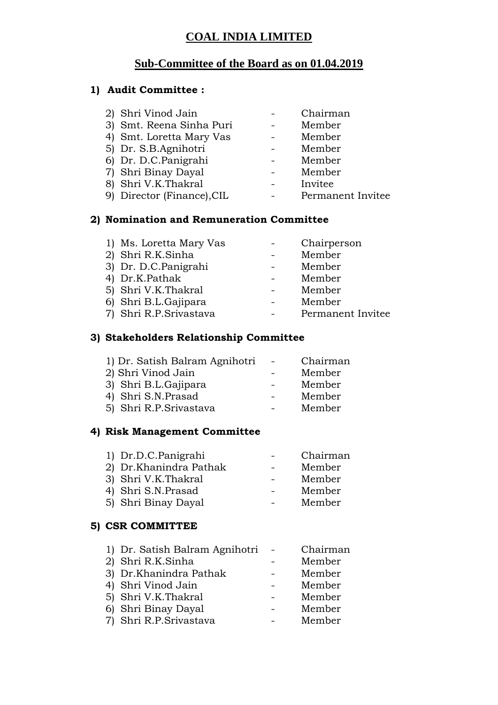### **COAL INDIA LIMITED**

# **Sub-Committee of the Board as on 01.04.2019**

## **1) Audit Committee :**

| 2) Shri Vinod Jain         | Chairman          |
|----------------------------|-------------------|
| 3) Smt. Reena Sinha Puri   | Member            |
| 4) Smt. Loretta Mary Vas   | Member            |
| 5) Dr. S.B.Agnihotri       | Member            |
| 6) Dr. D.C.Panigrahi       | Member            |
| 7) Shri Binay Dayal        | Member            |
| 8) Shri V.K.Thakral        | Invitee           |
| 9) Director (Finance), CIL | Permanent Invitee |
|                            |                   |

### **2) Nomination and Remuneration Committee**

| 1) Ms. Loretta Mary Vas | Chairperson       |
|-------------------------|-------------------|
| 2) Shri R.K.Sinha       | Member            |
| 3) Dr. D.C.Panigrahi    | Member            |
| 4) Dr.K.Pathak          | Member            |
| 5) Shri V.K.Thakral     | Member            |
| 6) Shri B.L.Gajipara    | Member            |
| 7) Shri R.P.Srivastava  | Permanent Invitee |

### **3) Stakeholders Relationship Committee**

| 1) Dr. Satish Balram Agnihotri |        | Chairman |
|--------------------------------|--------|----------|
| 2) Shri Vinod Jain             |        | Member   |
| 3) Shri B.L.Gajipara           |        | Member   |
| 4) Shri S.N.Prasad             |        | Member   |
| 5) Shri R.P.Srivastava         | $\sim$ | Member   |
|                                |        |          |

### **4) Risk Management Committee**

| 1) Dr.D.C.Panigrahi    | Chairman |
|------------------------|----------|
| 2) Dr.Khanindra Pathak | Member   |
| 3) Shri V.K.Thakral    | Member   |
| 4) Shri S.N.Prasad     | Member   |
| 5) Shri Binay Dayal    | Member   |
|                        |          |

#### **5) CSR COMMITTEE**

| 1) Dr. Satish Balram Agnihotri | Chairman |
|--------------------------------|----------|
| 2) Shri R.K.Sinha              | Member   |
| 3) Dr.Khanindra Pathak         | Member   |
| 4) Shri Vinod Jain             | Member   |
| 5) Shri V.K.Thakral            | Member   |
| 6) Shri Binay Dayal            | Member   |
| 7) Shri R.P.Srivastava         | Member   |